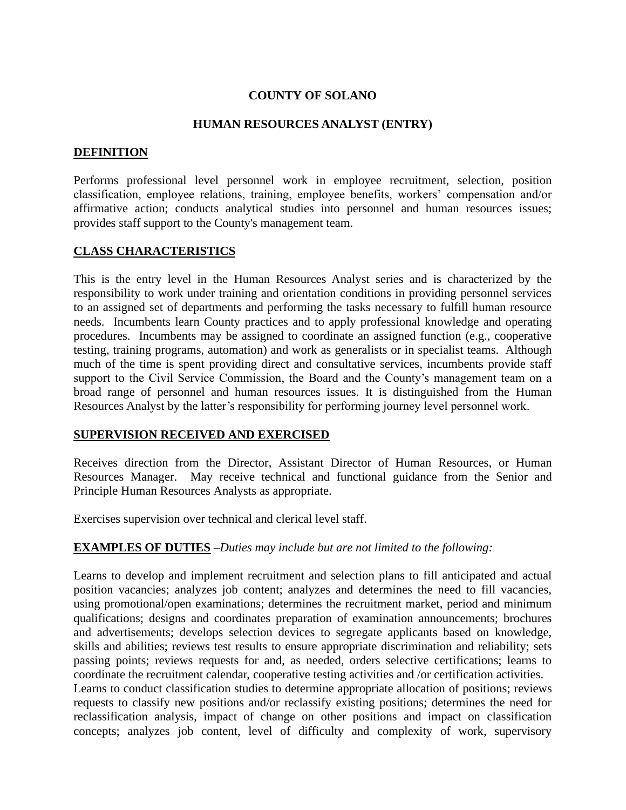### **COUNTY OF SOLANO**

#### **HUMAN RESOURCES ANALYST (ENTRY)**

#### **DEFINITION**

Performs professional level personnel work in employee recruitment, selection, position classification, employee relations, training, employee benefits, workers' compensation and/or affirmative action; conducts analytical studies into personnel and human resources issues; provides staff support to the County's management team.

### **CLASS CHARACTERISTICS**

This is the entry level in the Human Resources Analyst series and is characterized by the responsibility to work under training and orientation conditions in providing personnel services to an assigned set of departments and performing the tasks necessary to fulfill human resource needs. Incumbents learn County practices and to apply professional knowledge and operating procedures. Incumbents may be assigned to coordinate an assigned function (e.g., cooperative testing, training programs, automation) and work as generalists or in specialist teams. Although much of the time is spent providing direct and consultative services, incumbents provide staff support to the Civil Service Commission, the Board and the County's management team on a broad range of personnel and human resources issues. It is distinguished from the Human Resources Analyst by the latter's responsibility for performing journey level personnel work.

#### **SUPERVISION RECEIVED AND EXERCISED**

Receives direction from the Director, Assistant Director of Human Resources, or Human Resources Manager. May receive technical and functional guidance from the Senior and Principle Human Resources Analysts as appropriate.

Exercises supervision over technical and clerical level staff.

### **EXAMPLES OF DUTIES** *–Duties may include but are not limited to the following:*

Learns to develop and implement recruitment and selection plans to fill anticipated and actual position vacancies; analyzes job content; analyzes and determines the need to fill vacancies, using promotional/open examinations; determines the recruitment market, period and minimum qualifications; designs and coordinates preparation of examination announcements; brochures and advertisements; develops selection devices to segregate applicants based on knowledge, skills and abilities; reviews test results to ensure appropriate discrimination and reliability; sets passing points; reviews requests for and, as needed, orders selective certifications; learns to coordinate the recruitment calendar, cooperative testing activities and /or certification activities.

Learns to conduct classification studies to determine appropriate allocation of positions; reviews requests to classify new positions and/or reclassify existing positions; determines the need for reclassification analysis, impact of change on other positions and impact on classification concepts; analyzes job content, level of difficulty and complexity of work, supervisory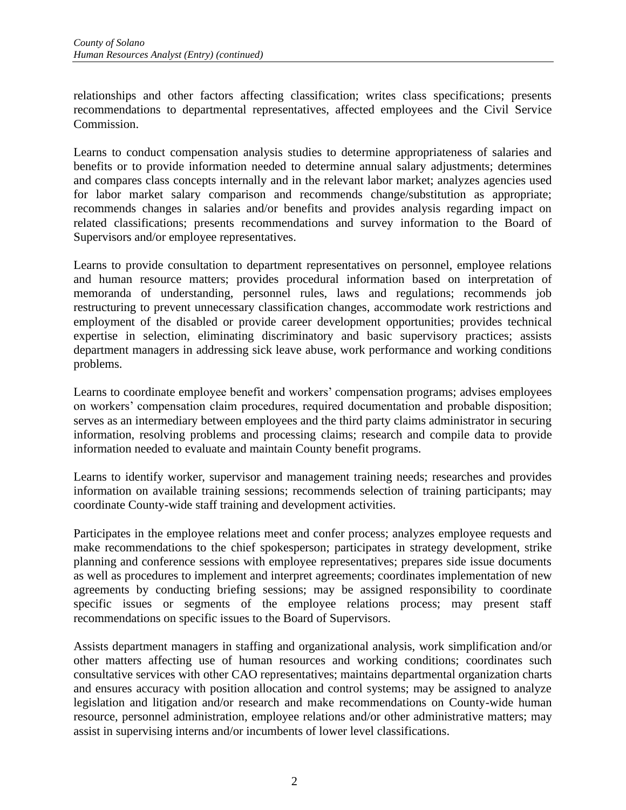relationships and other factors affecting classification; writes class specifications; presents recommendations to departmental representatives, affected employees and the Civil Service Commission.

Learns to conduct compensation analysis studies to determine appropriateness of salaries and benefits or to provide information needed to determine annual salary adjustments; determines and compares class concepts internally and in the relevant labor market; analyzes agencies used for labor market salary comparison and recommends change/substitution as appropriate; recommends changes in salaries and/or benefits and provides analysis regarding impact on related classifications; presents recommendations and survey information to the Board of Supervisors and/or employee representatives.

Learns to provide consultation to department representatives on personnel, employee relations and human resource matters; provides procedural information based on interpretation of memoranda of understanding, personnel rules, laws and regulations; recommends job restructuring to prevent unnecessary classification changes, accommodate work restrictions and employment of the disabled or provide career development opportunities; provides technical expertise in selection, eliminating discriminatory and basic supervisory practices; assists department managers in addressing sick leave abuse, work performance and working conditions problems.

Learns to coordinate employee benefit and workers' compensation programs; advises employees on workers' compensation claim procedures, required documentation and probable disposition; serves as an intermediary between employees and the third party claims administrator in securing information, resolving problems and processing claims; research and compile data to provide information needed to evaluate and maintain County benefit programs.

Learns to identify worker, supervisor and management training needs; researches and provides information on available training sessions; recommends selection of training participants; may coordinate County-wide staff training and development activities.

Participates in the employee relations meet and confer process; analyzes employee requests and make recommendations to the chief spokesperson; participates in strategy development, strike planning and conference sessions with employee representatives; prepares side issue documents as well as procedures to implement and interpret agreements; coordinates implementation of new agreements by conducting briefing sessions; may be assigned responsibility to coordinate specific issues or segments of the employee relations process; may present staff recommendations on specific issues to the Board of Supervisors.

Assists department managers in staffing and organizational analysis, work simplification and/or other matters affecting use of human resources and working conditions; coordinates such consultative services with other CAO representatives; maintains departmental organization charts and ensures accuracy with position allocation and control systems; may be assigned to analyze legislation and litigation and/or research and make recommendations on County-wide human resource, personnel administration, employee relations and/or other administrative matters; may assist in supervising interns and/or incumbents of lower level classifications.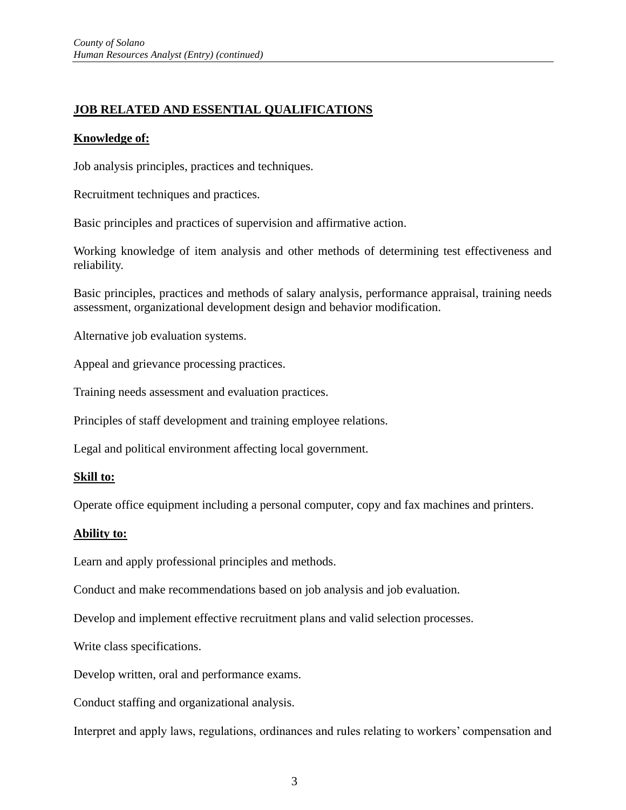# **JOB RELATED AND ESSENTIAL QUALIFICATIONS**

### **Knowledge of:**

Job analysis principles, practices and techniques.

Recruitment techniques and practices.

Basic principles and practices of supervision and affirmative action.

Working knowledge of item analysis and other methods of determining test effectiveness and reliability.

Basic principles, practices and methods of salary analysis, performance appraisal, training needs assessment, organizational development design and behavior modification.

Alternative job evaluation systems.

Appeal and grievance processing practices.

Training needs assessment and evaluation practices.

Principles of staff development and training employee relations.

Legal and political environment affecting local government.

### **Skill to:**

Operate office equipment including a personal computer, copy and fax machines and printers.

# **Ability to:**

Learn and apply professional principles and methods.

Conduct and make recommendations based on job analysis and job evaluation.

Develop and implement effective recruitment plans and valid selection processes.

Write class specifications.

Develop written, oral and performance exams.

Conduct staffing and organizational analysis.

Interpret and apply laws, regulations, ordinances and rules relating to workers' compensation and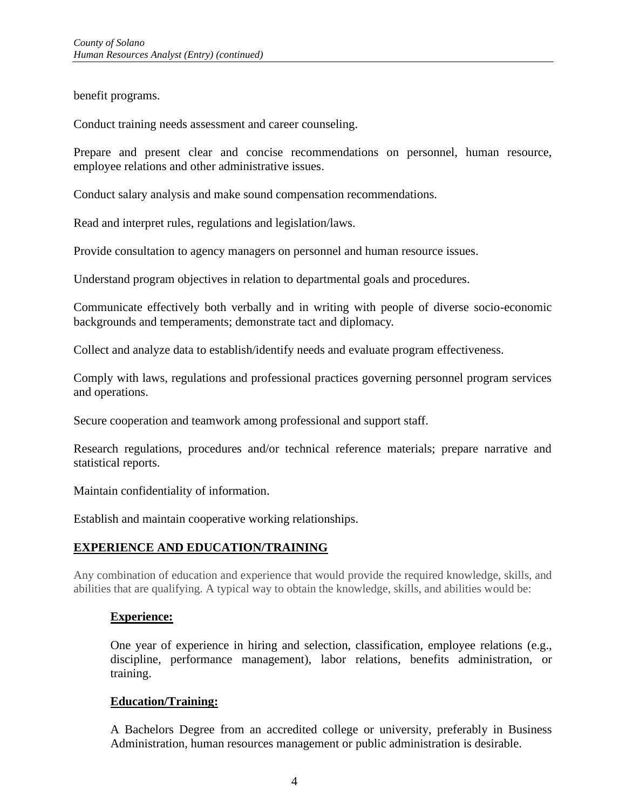benefit programs.

Conduct training needs assessment and career counseling.

Prepare and present clear and concise recommendations on personnel, human resource, employee relations and other administrative issues.

Conduct salary analysis and make sound compensation recommendations.

Read and interpret rules, regulations and legislation/laws.

Provide consultation to agency managers on personnel and human resource issues.

Understand program objectives in relation to departmental goals and procedures.

Communicate effectively both verbally and in writing with people of diverse socio-economic backgrounds and temperaments; demonstrate tact and diplomacy.

Collect and analyze data to establish/identify needs and evaluate program effectiveness.

Comply with laws, regulations and professional practices governing personnel program services and operations.

Secure cooperation and teamwork among professional and support staff.

Research regulations, procedures and/or technical reference materials; prepare narrative and statistical reports.

Maintain confidentiality of information.

Establish and maintain cooperative working relationships.

## **EXPERIENCE AND EDUCATION/TRAINING**

Any combination of education and experience that would provide the required knowledge, skills, and abilities that are qualifying. A typical way to obtain the knowledge, skills, and abilities would be:

## **Experience:**

One year of experience in hiring and selection, classification, employee relations (e.g., discipline, performance management), labor relations, benefits administration, or training.

## **Education/Training:**

A Bachelors Degree from an accredited college or university, preferably in Business Administration, human resources management or public administration is desirable.